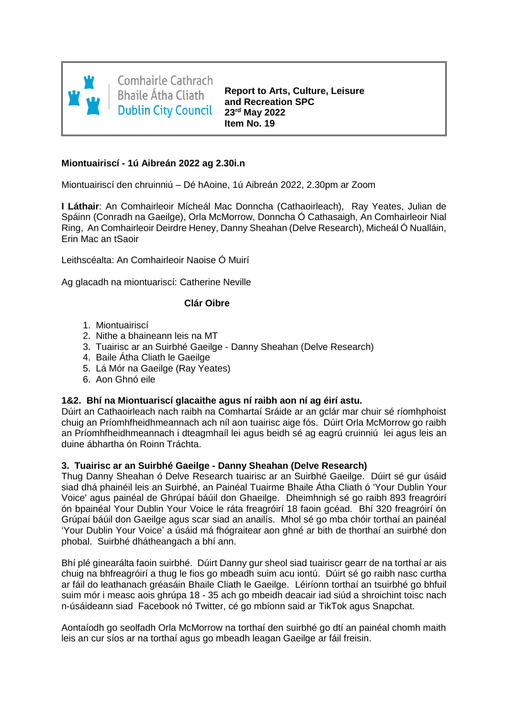

**Comhairle Cathrach Bhaile Átha Cliath Dublin City Council** 

**Report to Arts, Culture, Leisure and Recreation SPC 23rd May 2022 Item No. 19**

## **Miontuairiscí - 1ú Aibreán 2022 ag 2.30i.n**

Miontuairiscí den chruinniú – Dé hAoine, 1ú Aibreán 2022, 2.30pm ar Zoom

**I Láthair**: An Comhairleoir Mícheál Mac Donncha (Cathaoirleach), Ray Yeates, Julian de Spáinn (Conradh na Gaeilge), Orla McMorrow, Donncha Ó Cathasaigh, An Comhairleoir Nial Ring, An Comhairleoir Deirdre Heney, Danny Sheahan (Delve Research), Micheál Ó Nualláin, Erin Mac an tSaoir

Leithscéalta: An Comhairleoir Naoise Ó Muirí

Ag glacadh na miontuariscí: Catherine Neville

# **Clár Oibre**

- 1. Miontuairiscí
- 2. Nithe a bhaineann leis na MT
- 3. Tuairisc ar an Suirbhé Gaeilge Danny Sheahan (Delve Research)
- 4. Baile Átha Cliath le Gaeilge
- 5. Lá Mór na Gaeilge (Ray Yeates)
- 6. Aon Ghnó eile

## **1&2. Bhí na Miontuariscí glacaithe agus ní raibh aon ní ag éirí astu.**

Dúirt an Cathaoirleach nach raibh na Comhartaí Sráide ar an gclár mar chuir sé ríomhphoist chuig an Príomhfheidhmeannach ach níl aon tuairisc aige fós. Dúirt Orla McMorrow go raibh an Príomhfheidhmeannach i dteagmhaíl lei agus beidh sé ag eagrú cruinniú lei agus leis an duine ábhartha ón Roinn Tráchta.

## **3. Tuairisc ar an Suirbhé Gaeilge - Danny Sheahan (Delve Research)**

Thug Danny Sheahan ó Delve Research tuairisc ar an Suirbhé Gaeilge. Dúirt sé gur úsáid siad dhá phainéil leis an Suirbhé, an Painéal Tuairme Bhaile Átha Cliath ó 'Your Dublin Your Voice' agus painéal de Ghrúpaí báúil don Ghaeilge. Dheimhnigh sé go raibh 893 freagróirí ón bpainéal Your Dublin Your Voice le ráta freagróirí 18 faoin gcéad. Bhí 320 freagróirí ón Grúpaí báúil don Gaeilge agus scar siad an anailís. Mhol sé go mba chóir torthaí an painéal 'Your Dublin Your Voice' a úsáid má fhógraitear aon ghné ar bith de thorthaí an suirbhé don phobal. Suirbhé dhátheangach a bhí ann.

Bhí plé ginearálta faoin suirbhé. Dúirt Danny gur sheol siad tuairiscr gearr de na torthaí ar ais chuig na bhfreagróirí a thug le fios go mbeadh suim acu iontú. Dúirt sé go raibh nasc curtha ar fáil do leathanach gréasáin Bhaile Cliath le Gaeilge. Léiríonn torthaí an tsuirbhé go bhfuil suim mór i measc aois ghrúpa 18 - 35 ach go mbeidh deacair iad siúd a shroichint toisc nach n-úsáideann siad Facebook nó Twitter, cé go mbíonn said ar TikTok agus Snapchat.

Aontaíodh go seolfadh Orla McMorrow na torthaí den suirbhé go dtí an painéal chomh maith leis an cur síos ar na torthaí agus go mbeadh leagan Gaeilge ar fáil freisin.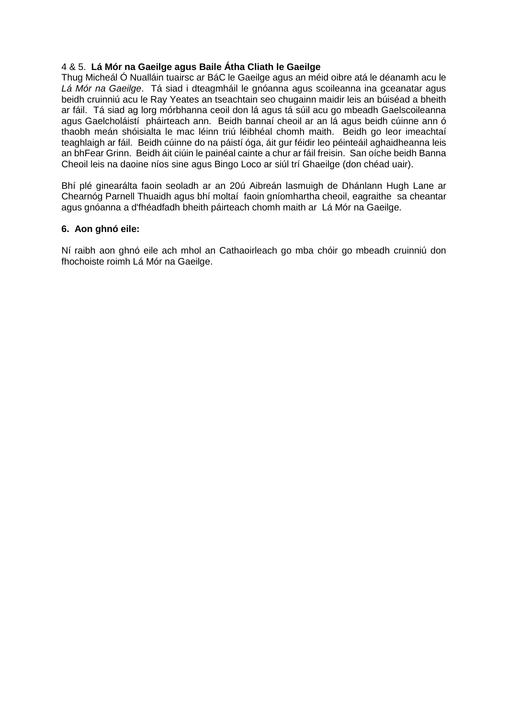## 4 & 5. **Lá Mór na Gaeilge agus Baile Átha Cliath le Gaeilge**

Thug Micheál Ó Nualláin tuairsc ar BáC le Gaeilge agus an méid oibre atá le déanamh acu le *Lá Mór na Gaeilge*. Tá siad i dteagmháil le gnóanna agus scoileanna ina gceanatar agus beidh cruinniú acu le Ray Yeates an tseachtain seo chugainn maidir leis an búiséad a bheith ar fáil. Tá siad ag lorg mórbhanna ceoil don lá agus tá súil acu go mbeadh Gaelscoileanna agus Gaelcholáistí pháirteach ann. Beidh bannaí cheoil ar an lá agus beidh cúinne ann ó thaobh meán shóisialta le mac léinn triú léibhéal chomh maith. Beidh go leor imeachtaí teaghlaigh ar fáil. Beidh cúinne do na páistí óga, áit gur féidir leo péinteáil aghaidheanna leis an bhFear Grinn. Beidh áit ciúin le painéal cainte a chur ar fáil freisin. San oíche beidh Banna Cheoil leis na daoine níos sine agus Bingo Loco ar siúl trí Ghaeilge (don chéad uair).

Bhí plé ginearálta faoin seoladh ar an 20ú Aibreán lasmuigh de Dhánlann Hugh Lane ar Chearnóg Parnell Thuaidh agus bhí moltaí faoin gníomhartha cheoil, eagraithe sa cheantar agus gnóanna a d'fhéadfadh bheith páirteach chomh maith ar Lá Mór na Gaeilge.

#### **6. Aon ghnó eile:**

Ní raibh aon ghnó eile ach mhol an Cathaoirleach go mba chóir go mbeadh cruinniú don fhochoiste roimh Lá Mór na Gaeilge.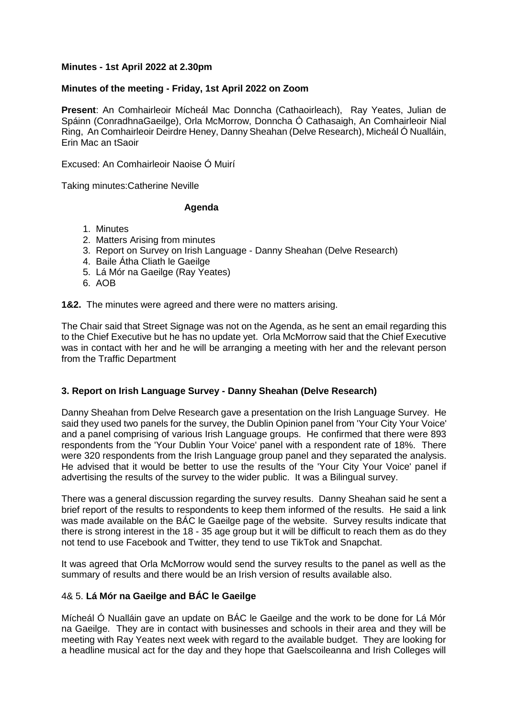## **Minutes - 1st April 2022 at 2.30pm**

#### **Minutes of the meeting - Friday, 1st April 2022 on Zoom**

**Present**: An Comhairleoir Mícheál Mac Donncha (Cathaoirleach), Ray Yeates, Julian de Spáinn (ConradhnaGaeilge), Orla McMorrow, Donncha Ó Cathasaigh, An Comhairleoir Nial Ring, An Comhairleoir Deirdre Heney, Danny Sheahan (Delve Research), Micheál Ó Nualláin, Erin Mac an tSaoir

Excused: An Comhairleoir Naoise Ó Muirí

Taking minutes:Catherine Neville

#### **Agenda**

- 1. Minutes
- 2. Matters Arising from minutes
- 3. Report on Survey on Irish Language Danny Sheahan (Delve Research)
- 4. Baile Átha Cliath le Gaeilge
- 5. Lá Mór na Gaeilge (Ray Yeates)
- 6. AOB

**1&2.** The minutes were agreed and there were no matters arising.

The Chair said that Street Signage was not on the Agenda, as he sent an email regarding this to the Chief Executive but he has no update yet. Orla McMorrow said that the Chief Executive was in contact with her and he will be arranging a meeting with her and the relevant person from the Traffic Department

#### **3. Report on Irish Language Survey - Danny Sheahan (Delve Research)**

Danny Sheahan from Delve Research gave a presentation on the Irish Language Survey. He said they used two panels for the survey, the Dublin Opinion panel from 'Your City Your Voice' and a panel comprising of various Irish Language groups. He confirmed that there were 893 respondents from the 'Your Dublin Your Voice' panel with a respondent rate of 18%. There were 320 respondents from the Irish Language group panel and they separated the analysis. He advised that it would be better to use the results of the 'Your City Your Voice' panel if advertising the results of the survey to the wider public. It was a Bilingual survey.

There was a general discussion regarding the survey results. Danny Sheahan said he sent a brief report of the results to respondents to keep them informed of the results. He said a link was made available on the BÁC le Gaeilge page of the website. Survey results indicate that there is strong interest in the 18 - 35 age group but it will be difficult to reach them as do they not tend to use Facebook and Twitter, they tend to use TikTok and Snapchat.

It was agreed that Orla McMorrow would send the survey results to the panel as well as the summary of results and there would be an Irish version of results available also.

#### 4& 5. **Lá Mór na Gaeilge and BÁC le Gaeilge**

Mícheál Ó Nualláin gave an update on BÁC le Gaeilge and the work to be done for Lá Mór na Gaeilge. They are in contact with businesses and schools in their area and they will be meeting with Ray Yeates next week with regard to the available budget. They are looking for a headline musical act for the day and they hope that Gaelscoileanna and Irish Colleges will